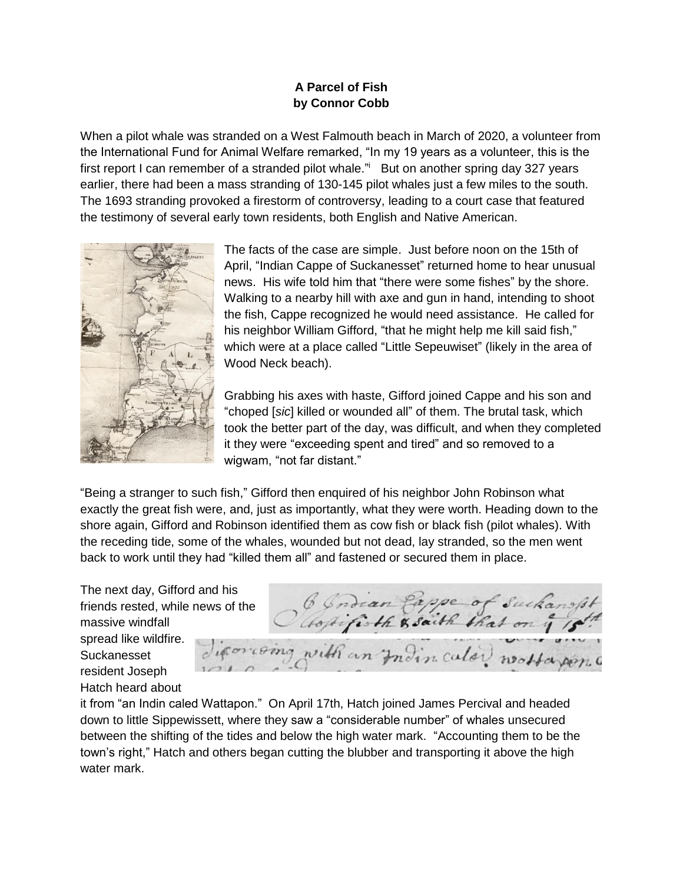## **A Parcel of Fish by Connor Cobb**

When a pilot whale was stranded on a West Falmouth beach in March of 2020, a volunteer from the International Fund for Animal Welfare remarked, "In my 19 years as a volunteer, this is the first report I can remember of a stranded pilot whale." But on another spring day 327 years earlier, there had been a mass stranding of 130-145 pilot whales just a few miles to the south. The 1693 stranding provoked a firestorm of controversy, leading to a court case that featured the testimony of several early town residents, both English and Native American.



The facts of the case are simple. Just before noon on the 15th of April, "Indian Cappe of Suckanesset" returned home to hear unusual news. His wife told him that "there were some fishes" by the shore. Walking to a nearby hill with axe and gun in hand, intending to shoot the fish, Cappe recognized he would need assistance. He called for his neighbor William Gifford, "that he might help me kill said fish," which were at a place called "Little Sepeuwiset" (likely in the area of Wood Neck beach).

Grabbing his axes with haste, Gifford joined Cappe and his son and "choped [*sic*] killed or wounded all" of them. The brutal task, which took the better part of the day, was difficult, and when they completed it they were "exceeding spent and tired" and so removed to a wigwam, "not far distant."

"Being a stranger to such fish," Gifford then enquired of his neighbor John Robinson what exactly the great fish were, and, just as importantly, what they were worth. Heading down to the shore again, Gifford and Robinson identified them as cow fish or black fish (pilot whales). With the receding tide, some of the whales, wounded but not dead, lay stranded, so the men went back to work until they had "killed them all" and fastened or secured them in place.

The next day, Gifford and his friends rested, while news of the massive windfall spread like wildfire. Suckanesset resident Joseph Hatch heard about

6 Indian Pappe of Sucha with an Indin calor worker on

it from "an Indin caled Wattapon." On April 17th, Hatch joined James Percival and headed down to little Sippewissett, where they saw a "considerable number" of whales unsecured between the shifting of the tides and below the high water mark. "Accounting them to be the town's right," Hatch and others began cutting the blubber and transporting it above the high water mark.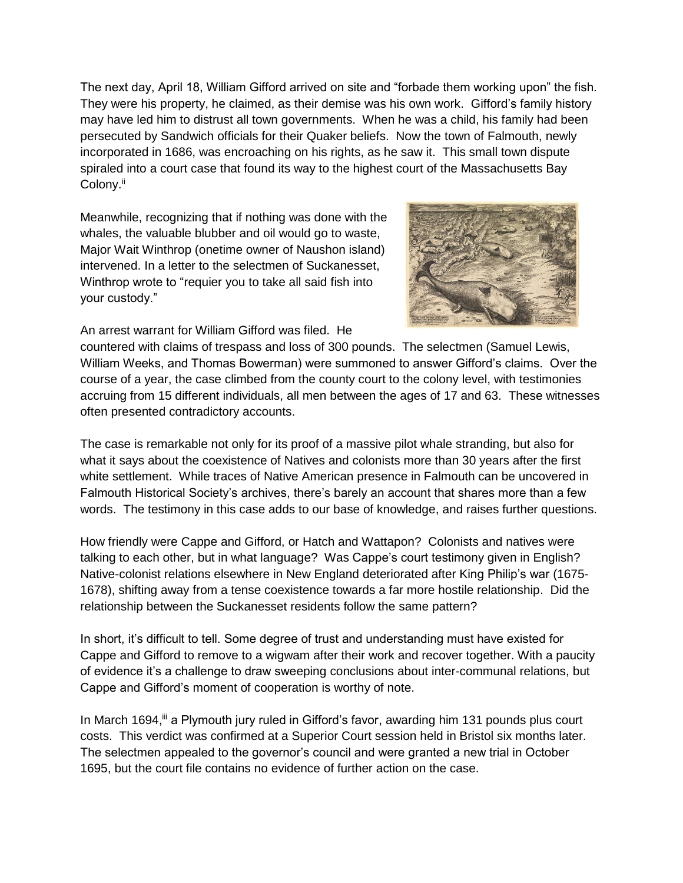The next day, April 18, William Gifford arrived on site and "forbade them working upon" the fish. They were his property, he claimed, as their demise was his own work. Gifford's family history may have led him to distrust all town governments. When he was a child, his family had been persecuted by Sandwich officials for their Quaker beliefs. Now the town of Falmouth, newly incorporated in 1686, was encroaching on his rights, as he saw it. This small town dispute spiraled into a court case that found its way to the highest court of the Massachusetts Bay Colony.<sup>ii</sup>

Meanwhile, recognizing that if nothing was done with the whales, the valuable blubber and oil would go to waste, Major Wait Winthrop (onetime owner of Naushon island) intervened. In a letter to the selectmen of Suckanesset, Winthrop wrote to "requier you to take all said fish into your custody."



An arrest warrant for William Gifford was filed. He

countered with claims of trespass and loss of 300 pounds. The selectmen (Samuel Lewis, William Weeks, and Thomas Bowerman) were summoned to answer Gifford's claims. Over the course of a year, the case climbed from the county court to the colony level, with testimonies accruing from 15 different individuals, all men between the ages of 17 and 63. These witnesses often presented contradictory accounts.

The case is remarkable not only for its proof of a massive pilot whale stranding, but also for what it says about the coexistence of Natives and colonists more than 30 years after the first white settlement. While traces of Native American presence in Falmouth can be uncovered in Falmouth Historical Society's archives, there's barely an account that shares more than a few words. The testimony in this case adds to our base of knowledge, and raises further questions.

How friendly were Cappe and Gifford, or Hatch and Wattapon? Colonists and natives were talking to each other, but in what language? Was Cappe's court testimony given in English? Native-colonist relations elsewhere in New England deteriorated after King Philip's war (1675- 1678), shifting away from a tense coexistence towards a far more hostile relationship. Did the relationship between the Suckanesset residents follow the same pattern?

In short, it's difficult to tell. Some degree of trust and understanding must have existed for Cappe and Gifford to remove to a wigwam after their work and recover together. With a paucity of evidence it's a challenge to draw sweeping conclusions about inter-communal relations, but Cappe and Gifford's moment of cooperation is worthy of note.

In March 1694, ii a Plymouth jury ruled in Gifford's favor, awarding him 131 pounds plus court costs. This verdict was confirmed at a Superior Court session held in Bristol six months later. The selectmen appealed to the governor's council and were granted a new trial in October 1695, but the court file contains no evidence of further action on the case.